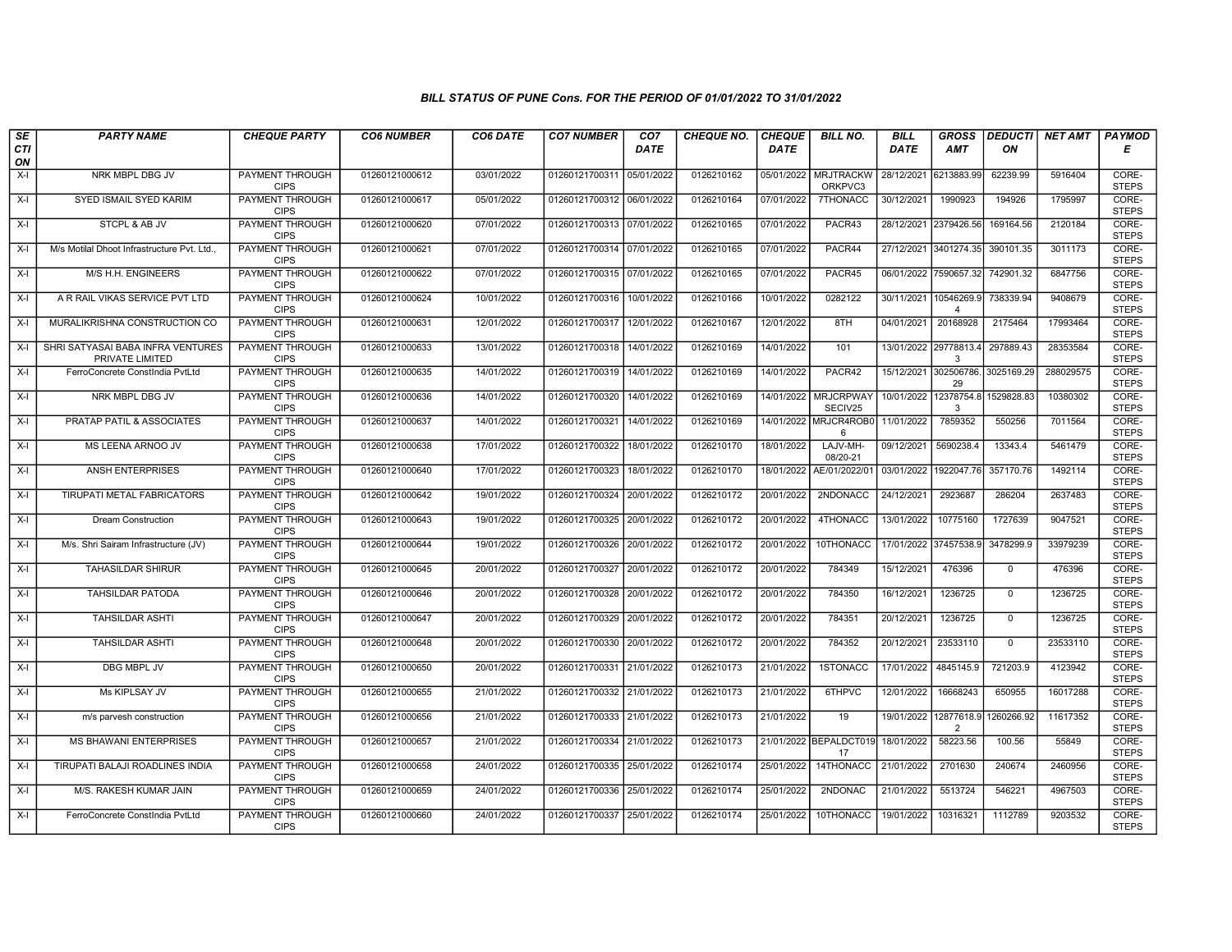| SE        | <b>PARTY NAME</b>                                    | <b>CHEQUE PARTY</b>                   | <b>CO6 NUMBER</b> | CO6 DATE   | <b>CO7 NUMBER</b>         | CO <sub>7</sub> | <b>CHEQUE NO.</b> | <b>CHEQUE</b> | <b>BILL NO.</b>                 | <b>BILL</b>           | <b>GROSS</b>               | <b>DEDUCTI</b> | NET AMT   | <b>PAYMOD</b>         |
|-----------|------------------------------------------------------|---------------------------------------|-------------------|------------|---------------------------|-----------------|-------------------|---------------|---------------------------------|-----------------------|----------------------------|----------------|-----------|-----------------------|
| CTI<br>ON |                                                      |                                       |                   |            |                           | <b>DATE</b>     |                   | <b>DATE</b>   |                                 | <b>DATE</b>           | <b>AMT</b>                 | ΟN             |           | Е                     |
| $X-I$     | NRK MBPL DBG JV                                      | <b>PAYMENT THROUGH</b><br><b>CIPS</b> | 01260121000612    | 03/01/2022 | 01260121700311            | 05/01/2022      | 0126210162        |               | 05/01/2022 MRJTRACKW<br>ORKPVC3 | 28/12/2021 6213883.99 |                            | 62239.99       | 5916404   | CORE-<br><b>STEPS</b> |
| X-I       | SYED ISMAIL SYED KARIM                               | <b>PAYMENT THROUGH</b><br><b>CIPS</b> | 01260121000617    | 05/01/2022 | 01260121700312 06/01/2022 |                 | 0126210164        | 07/01/2022    | 7THONACC                        | 30/12/2021            | 1990923                    | 194926         | 1795997   | CORE-<br><b>STEPS</b> |
| $X-I$     | STCPL & AB JV                                        | <b>PAYMENT THROUGH</b><br><b>CIPS</b> | 01260121000620    | 07/01/2022 | 01260121700313 07/01/2022 |                 | 0126210165        | 07/01/2022    | PACR43                          |                       | 28/12/2021 2379426.56      | 169164.56      | 2120184   | CORE-<br><b>STEPS</b> |
| $X-I$     | M/s Motilal Dhoot Infrastructure Pvt. Ltd            | PAYMENT THROUGH<br><b>CIPS</b>        | 01260121000621    | 07/01/2022 | 01260121700314 07/01/2022 |                 | 0126210165        | 07/01/2022    | PACR44                          | 27/12/2021 3401274.35 |                            | 390101.35      | 3011173   | CORE-<br><b>STEPS</b> |
| $X-I$     | M/S H.H. ENGINEERS                                   | <b>PAYMENT THROUGH</b><br><b>CIPS</b> | 01260121000622    | 07/01/2022 | 01260121700315 07/01/2022 |                 | 0126210165        | 07/01/2022    | PACR45                          |                       | 06/01/2022 7590657.32      | 742901.32      | 6847756   | CORE-<br><b>STEPS</b> |
| X-I       | A R RAIL VIKAS SERVICE PVT LTD                       | <b>PAYMENT THROUGH</b><br><b>CIPS</b> | 01260121000624    | 10/01/2022 | 01260121700316            | 10/01/2022      | 0126210166        | 10/01/2022    | 0282122                         | 30/11/2021 10546269.9 | $\overline{\mathbf{4}}$    | 738339.94      | 9408679   | CORE-<br><b>STEPS</b> |
| $X-I$     | MURALIKRISHNA CONSTRUCTION CO                        | <b>PAYMENT THROUGH</b><br><b>CIPS</b> | 01260121000631    | 12/01/2022 | 01260121700317            | 12/01/2022      | 0126210167        | 12/01/2022    | 8TH                             | 04/01/2021            | 20168928                   | 2175464        | 17993464  | CORE-<br><b>STEPS</b> |
| X-I       | SHRI SATYASAI BABA INFRA VENTURES<br>PRIVATE LIMITED | <b>PAYMENT THROUGH</b><br><b>CIPS</b> | 01260121000633    | 13/01/2022 | 01260121700318            | 14/01/2022      | 0126210169        | 14/01/2022    | 101                             |                       | 13/01/2022 29778813.4<br>3 | 297889.43      | 28353584  | CORE-<br><b>STEPS</b> |
| X-I       | FerroConcrete ConstIndia PvtLtd                      | <b>PAYMENT THROUGH</b><br><b>CIPS</b> | 01260121000635    | 14/01/2022 | 01260121700319 14/01/2022 |                 | 0126210169        | 14/01/2022    | PACR42                          | 15/12/2021 302506786  | 29                         | 3025169.29     | 288029575 | CORE-<br><b>STEPS</b> |
| $X-I$     | NRK MBPL DBG JV                                      | <b>PAYMENT THROUGH</b><br><b>CIPS</b> | 01260121000636    | 14/01/2022 | 01260121700320            | 14/01/2022      | 0126210169        |               | 14/01/2022 MRJCRPWAY<br>SECIV25 | 10/01/2022 12378754.8 | 3                          | 1529828.83     | 10380302  | CORE-<br><b>STEPS</b> |
| $X-I$     | PRATAP PATIL & ASSOCIATES                            | PAYMENT THROUGH<br><b>CIPS</b>        | 01260121000637    | 14/01/2022 | 01260121700321            | 14/01/2022      | 0126210169        |               | 14/01/2022 MRJCR4ROB0<br>6      | 11/01/2022            | 7859352                    | 550256         | 7011564   | CORE-<br><b>STEPS</b> |
| X-I       | MS LEENA ARNOO JV                                    | PAYMENT THROUGH<br><b>CIPS</b>        | 01260121000638    | 17/01/2022 | 01260121700322            | 18/01/2022      | 0126210170        | 18/01/2022    | LAJV-MH-<br>08/20-21            | 09/12/2021            | 5690238.4                  | 13343.4        | 5461479   | CORE-<br><b>STEPS</b> |
| X-I       | <b>ANSH ENTERPRISES</b>                              | <b>PAYMENT THROUGH</b><br><b>CIPS</b> | 01260121000640    | 17/01/2022 | 01260121700323            | 18/01/2022      | 0126210170        | 18/01/2022    | AE/01/2022/0                    | 03/01/2022            | 1922047.76                 | 357170.76      | 1492114   | CORE-<br><b>STEPS</b> |
| $X-I$     | TIRUPATI METAL FABRICATORS                           | PAYMENT THROUGH<br><b>CIPS</b>        | 01260121000642    | 19/01/2022 | 01260121700324            | 20/01/2022      | 0126210172        | 20/01/2022    | 2NDONACC                        | 24/12/2021            | 2923687                    | 286204         | 2637483   | CORE-<br><b>STEPS</b> |
| $X-I$     | <b>Dream Construction</b>                            | PAYMENT THROUGH<br><b>CIPS</b>        | 01260121000643    | 19/01/2022 | 01260121700325            | 20/01/2022      | 0126210172        | 20/01/2022    | 4THONACC                        | 13/01/2022            | 10775160                   | 1727639        | 9047521   | CORE-<br><b>STEPS</b> |
| $X-I$     | M/s. Shri Sairam Infrastructure (JV)                 | PAYMENT THROUGH<br><b>CIPS</b>        | 01260121000644    | 19/01/2022 | 01260121700326            | 20/01/2022      | 0126210172        | 20/01/2022    | 10THONACC                       | 17/01/2022 37457538.9 |                            | 3478299.9      | 33979239  | CORE-<br><b>STEPS</b> |
| $X-I$     | <b>TAHASILDAR SHIRUR</b>                             | <b>PAYMENT THROUGH</b><br><b>CIPS</b> | 01260121000645    | 20/01/2022 | 01260121700327            | 20/01/2022      | 0126210172        | 20/01/2022    | 784349                          | 15/12/2021            | 476396                     | $\mathbf 0$    | 476396    | CORE-<br><b>STEPS</b> |
| X-I       | <b>TAHSILDAR PATODA</b>                              | <b>PAYMENT THROUGH</b><br><b>CIPS</b> | 01260121000646    | 20/01/2022 | 01260121700328 20/01/2022 |                 | 0126210172        | 20/01/2022    | 784350                          | 16/12/2021            | 1236725                    | $\mathbf 0$    | 1236725   | CORE-<br><b>STEPS</b> |
| $X-I$     | <b>TAHSILDAR ASHTI</b>                               | <b>PAYMENT THROUGH</b><br><b>CIPS</b> | 01260121000647    | 20/01/2022 | 01260121700329            | 20/01/2022      | 0126210172        | 20/01/2022    | 784351                          | 20/12/2021            | 1236725                    | $\mathbf 0$    | 1236725   | CORE-<br><b>STEPS</b> |
| X-I       | TAHSILDAR ASHTI                                      | PAYMENT THROUGH<br><b>CIPS</b>        | 01260121000648    | 20/01/2022 | 01260121700330            | 20/01/2022      | 0126210172        | 20/01/2022    | 784352                          | 20/12/2021            | 23533110                   | $\mathbf 0$    | 23533110  | CORE-<br><b>STEPS</b> |
| X-I       | DBG MBPL JV                                          | <b>PAYMENT THROUGH</b><br><b>CIPS</b> | 01260121000650    | 20/01/2022 | 01260121700331            | 21/01/2022      | 0126210173        | 21/01/2022    | 1STONACC                        | 17/01/2022            | 4845145.9                  | 721203.9       | 4123942   | CORE-<br><b>STEPS</b> |
| X-I       | <b>Ms KIPLSAY JV</b>                                 | PAYMENT THROUGH<br><b>CIPS</b>        | 01260121000655    | 21/01/2022 | 01260121700332 21/01/2022 |                 | 0126210173        | 21/01/2022    | 6THPVC                          | 12/01/2022            | 16668243                   | 650955         | 16017288  | CORE-<br><b>STEPS</b> |
| $X-I$     | m/s parvesh construction                             | PAYMENT THROUGH<br><b>CIPS</b>        | 01260121000656    | 21/01/2022 | 01260121700333            | 21/01/2022      | 0126210173        | 21/01/2022    | 19                              | 19/01/2022 12877618.  | 2                          | 1260266.92     | 11617352  | CORE-<br><b>STEPS</b> |
| $X-I$     | <b>MS BHAWANI ENTERPRISES</b>                        | PAYMENT THROUGH<br><b>CIPS</b>        | 01260121000657    | 21/01/2022 | 01260121700334            | 21/01/2022      | 0126210173        |               | 21/01/2022 BEPALDCT019<br>17    | 18/01/2022            | 58223.56                   | 100.56         | 55849     | CORE-<br><b>STEPS</b> |
| $X-I$     | TIRUPATI BALAJI ROADLINES INDIA                      | <b>PAYMENT THROUGH</b><br><b>CIPS</b> | 01260121000658    | 24/01/2022 | 01260121700335 25/01/2022 |                 | 0126210174        | 25/01/2022    | 14THONACC                       | 21/01/2022            | 2701630                    | 240674         | 2460956   | CORE-<br><b>STEPS</b> |
| X-I       | M/S. RAKESH KUMAR JAIN                               | <b>PAYMENT THROUGH</b><br><b>CIPS</b> | 01260121000659    | 24/01/2022 | 01260121700336 25/01/2022 |                 | 0126210174        | 25/01/2022    | 2NDONAC                         | 21/01/2022            | 5513724                    | 546221         | 4967503   | CORE-<br><b>STEPS</b> |
| X-I       | FerroConcrete ConstIndia PvtLtd                      | PAYMENT THROUGH<br><b>CIPS</b>        | 01260121000660    | 24/01/2022 | 01260121700337            | 25/01/2022      | 0126210174        | 25/01/2022    | 10THONACC                       | 19/01/2022            | 10316321                   | 1112789        | 9203532   | CORE-<br><b>STEPS</b> |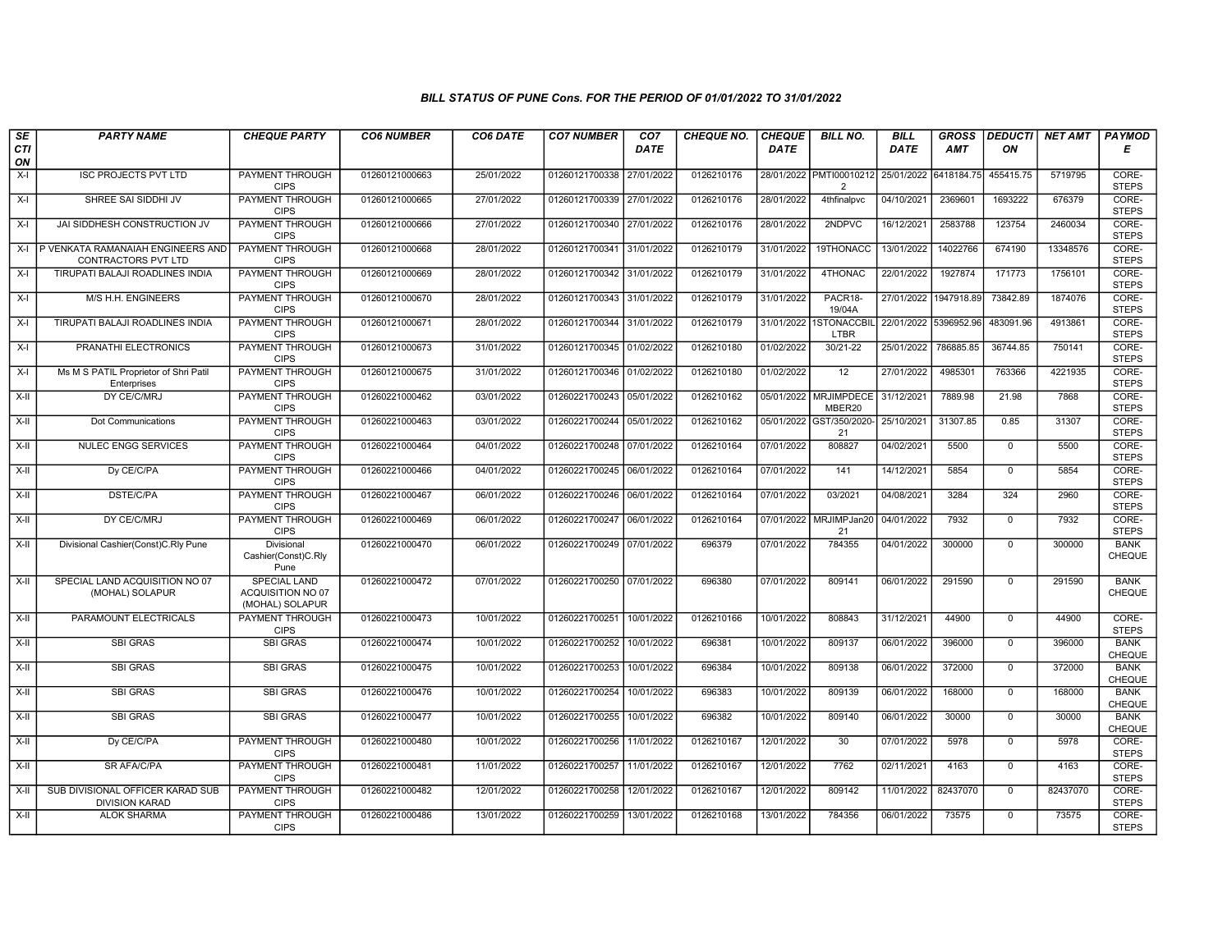| SE        | <b>PARTY NAME</b>                                         | <b>CHEQUE PARTY</b>                                  | <b>CO6 NUMBER</b> | CO6 DATE   | <b>CO7 NUMBER</b>         | CO <sub>7</sub> | <b>CHEQUE NO.</b> | <b>CHEQUE</b> | <b>BILL NO.</b>                           | <b>BILL</b>           | <b>GROSS</b> | <b>DEDUCTI</b> | NET AMT  | <b>PAYMOD</b>                |
|-----------|-----------------------------------------------------------|------------------------------------------------------|-------------------|------------|---------------------------|-----------------|-------------------|---------------|-------------------------------------------|-----------------------|--------------|----------------|----------|------------------------------|
| CTI<br>ON |                                                           |                                                      |                   |            |                           | <b>DATE</b>     |                   | <b>DATE</b>   |                                           | DATE                  | <b>AMT</b>   | ON             |          | Е                            |
| $X-I$     | <b>ISC PROJECTS PVT LTD</b>                               | <b>PAYMENT THROUGH</b><br><b>CIPS</b>                | 01260121000663    | 25/01/2022 | 01260121700338            | 27/01/2022      | 0126210176        |               | 28/01/2022 PMTI00010212<br>$\overline{2}$ | 25/01/2022 6418184.75 |              | 455415.75      | 5719795  | CORE-<br><b>STEPS</b>        |
| $X-I$     | SHREE SAI SIDDHI JV                                       | <b>PAYMENT THROUGH</b><br><b>CIPS</b>                | 01260121000665    | 27/01/2022 | 01260121700339 27/01/2022 |                 | 0126210176        | 28/01/2022    | 4thfinalpvc                               | 04/10/2021            | 2369601      | 1693222        | 676379   | CORE-<br><b>STEPS</b>        |
| $X-I$     | JAI SIDDHESH CONSTRUCTION JV                              | PAYMENT THROUGH<br><b>CIPS</b>                       | 01260121000666    | 27/01/2022 | 01260121700340            | 27/01/2022      | 0126210176        | 28/01/2022    | 2NDPVC                                    | 16/12/2021            | 2583788      | 123754         | 2460034  | CORE-<br><b>STEPS</b>        |
| $X-I$     | P VENKATA RAMANAIAH ENGINEERS AND<br>CONTRACTORS PVT LTD  | <b>PAYMENT THROUGH</b><br><b>CIPS</b>                | 01260121000668    | 28/01/2022 | 01260121700341            | 31/01/2022      | 0126210179        | 31/01/2022    | 19THONACC                                 | 13/01/2022            | 14022766     | 674190         | 13348576 | CORE-<br><b>STEPS</b>        |
| $X-I$     | TIRUPATI BALAJI ROADLINES INDIA                           | <b>PAYMENT THROUGH</b><br><b>CIPS</b>                | 01260121000669    | 28/01/2022 | 01260121700342            | 31/01/2022      | 0126210179        | 31/01/2022    | 4THONAC                                   | 22/01/2022            | 1927874      | 171773         | 1756101  | CORE-<br><b>STEPS</b>        |
| $X-I$     | M/S H.H. ENGINEERS                                        | <b>PAYMENT THROUGH</b><br><b>CIPS</b>                | 01260121000670    | 28/01/2022 | 01260121700343 31/01/2022 |                 | 0126210179        | 31/01/2022    | PACR18-<br>19/04A                         | 27/01/2022 1947918.89 |              | 73842.89       | 1874076  | CORE-<br><b>STEPS</b>        |
| $X-I$     | TIRUPATI BALAJI ROADLINES INDIA                           | <b>PAYMENT THROUGH</b><br><b>CIPS</b>                | 01260121000671    | 28/01/2022 | 01260121700344 31/01/2022 |                 | 0126210179        |               | 31/01/2022 1STONACCBIL<br>LTBR            | 22/01/2022 5396952.96 |              | 483091.96      | 4913861  | CORE-<br><b>STEPS</b>        |
| $X-I$     | PRANATHI ELECTRONICS                                      | PAYMENT THROUGH<br><b>CIPS</b>                       | 01260121000673    | 31/01/2022 | 01260121700345 01/02/2022 |                 | 0126210180        | 01/02/2022    | 30/21-22                                  | 25/01/2022            | 786885.85    | 36744.85       | 750141   | CORE-<br><b>STEPS</b>        |
| X-I       | Ms M S PATIL Proprietor of Shri Patil<br>Enterprises      | PAYMENT THROUGH<br><b>CIPS</b>                       | 01260121000675    | 31/01/2022 | 01260121700346 01/02/2022 |                 | 0126210180        | 01/02/2022    | 12                                        | 27/01/2022            | 4985301      | 763366         | 4221935  | CORE-<br><b>STEPS</b>        |
| $X-H$     | DY CE/C/MRJ                                               | <b>PAYMENT THROUGH</b><br><b>CIPS</b>                | 01260221000462    | 03/01/2022 | 01260221700243 05/01/2022 |                 | 0126210162        |               | 05/01/2022 MRJIMPDECE<br>MBER20           | 31/12/2021            | 7889.98      | 21.98          | 7868     | CORE-<br><b>STEPS</b>        |
| X-II      | Dot Communications                                        | <b>PAYMENT THROUGH</b><br><b>CIPS</b>                | 01260221000463    | 03/01/2022 | 01260221700244            | 05/01/2022      | 0126210162        |               | 05/01/2022 GST/350/2020-<br>21            | 25/10/2021            | 31307.85     | 0.85           | 31307    | CORE-<br><b>STEPS</b>        |
| $X-H$     | <b>NULEC ENGG SERVICES</b>                                | <b>PAYMENT THROUGH</b><br><b>CIPS</b>                | 01260221000464    | 04/01/2022 | 01260221700248 07/01/2022 |                 | 0126210164        | 07/01/2022    | 808827                                    | 04/02/2021            | 5500         | $\mathbf 0$    | 5500     | CORE-<br><b>STEPS</b>        |
| X-II      | Dy CE/C/PA                                                | <b>PAYMENT THROUGH</b><br><b>CIPS</b>                | 01260221000466    | 04/01/2022 | 01260221700245 06/01/2022 |                 | 0126210164        | 07/01/2022    | 141                                       | 14/12/2021            | 5854         | $\mathbf 0$    | 5854     | CORE-<br><b>STEPS</b>        |
| X-II      | <b>DSTE/C/PA</b>                                          | <b>PAYMENT THROUGH</b><br><b>CIPS</b>                | 01260221000467    | 06/01/2022 | 01260221700246            | 06/01/2022      | 0126210164        | 07/01/2022    | 03/2021                                   | 04/08/2021            | 3284         | 324            | 2960     | CORE-<br><b>STEPS</b>        |
| $X-H$     | DY CE/C/MRJ                                               | <b>PAYMENT THROUGH</b><br><b>CIPS</b>                | 01260221000469    | 06/01/2022 | 01260221700247            | 06/01/2022      | 0126210164        | 07/01/2022    | MRJIMPJan20<br>21                         | 04/01/2022            | 7932         | $\mathbf 0$    | 7932     | CORE-<br><b>STEPS</b>        |
| $X-II$    | Divisional Cashier(Const)C.Rly Pune                       | Divisional<br>Cashier(Const)C.Rly<br>Pune            | 01260221000470    | 06/01/2022 | 01260221700249 07/01/2022 |                 | 696379            | 07/01/2022    | 784355                                    | 04/01/2022            | 300000       | $\mathbf 0$    | 300000   | <b>BANK</b><br><b>CHEQUE</b> |
| X-II      | SPECIAL LAND ACQUISITION NO 07<br>(MOHAL) SOLAPUR         | SPECIAL LAND<br>ACQUISITION NO 07<br>(MOHAL) SOLAPUR | 01260221000472    | 07/01/2022 | 01260221700250 07/01/2022 |                 | 696380            | 07/01/2022    | 809141                                    | 06/01/2022            | 291590       | $\Omega$       | 291590   | <b>BANK</b><br>CHEQUE        |
| X-II      | PARAMOUNT ELECTRICALS                                     | <b>PAYMENT THROUGH</b><br><b>CIPS</b>                | 01260221000473    | 10/01/2022 | 01260221700251            | 10/01/2022      | 0126210166        | 10/01/2022    | 808843                                    | 31/12/2021            | 44900        | $\mathbf 0$    | 44900    | CORE-<br><b>STEPS</b>        |
| $X-H$     | <b>SBI GRAS</b>                                           | <b>SBI GRAS</b>                                      | 01260221000474    | 10/01/2022 | 01260221700252            | 10/01/2022      | 696381            | 10/01/2022    | 809137                                    | 06/01/2022            | 396000       | $\overline{0}$ | 396000   | <b>BANK</b><br><b>CHEQUE</b> |
| X-II      | <b>SBI GRAS</b>                                           | <b>SBI GRAS</b>                                      | 01260221000475    | 10/01/2022 | 01260221700253            | 10/01/2022      | 696384            | 10/01/2022    | 809138                                    | 06/01/2022            | 372000       | $\mathbf 0$    | 372000   | <b>BANK</b><br>CHEQUE        |
| $X-H$     | <b>SBI GRAS</b>                                           | <b>SBI GRAS</b>                                      | 01260221000476    | 10/01/2022 | 01260221700254            | 10/01/2022      | 696383            | 10/01/2022    | 809139                                    | 06/01/2022            | 168000       | $\mathbf 0$    | 168000   | <b>BANK</b><br>CHEQUE        |
| $X-H$     | <b>SBI GRAS</b>                                           | <b>SBI GRAS</b>                                      | 01260221000477    | 10/01/2022 | 01260221700255            | 10/01/2022      | 696382            | 10/01/2022    | 809140                                    | 06/01/2022            | 30000        | $\overline{0}$ | 30000    | <b>BANK</b><br>CHEQUE        |
| $X-H$     | Dy CE/C/PA                                                | <b>PAYMENT THROUGH</b><br><b>CIPS</b>                | 01260221000480    | 10/01/2022 | 01260221700256 11/01/2022 |                 | 0126210167        | 12/01/2022    | 30                                        | 07/01/2022            | 5978         | $\mathbf 0$    | 5978     | CORE-<br><b>STEPS</b>        |
| X-II      | SR AFA/C/PA                                               | PAYMENT THROUGH<br><b>CIPS</b>                       | 01260221000481    | 11/01/2022 | 01260221700257            | 11/01/2022      | 0126210167        | 12/01/2022    | 7762                                      | 02/11/2021            | 4163         | $\mathbf 0$    | 4163     | CORE-<br><b>STEPS</b>        |
| X-II      | SUB DIVISIONAL OFFICER KARAD SUB<br><b>DIVISION KARAD</b> | PAYMENT THROUGH<br><b>CIPS</b>                       | 01260221000482    | 12/01/2022 | 01260221700258            | 12/01/2022      | 0126210167        | 12/01/2022    | 809142                                    | 11/01/2022            | 82437070     | $\mathbf 0$    | 82437070 | CORE-<br><b>STEPS</b>        |
| $X-H$     | <b>ALOK SHARMA</b>                                        | <b>PAYMENT THROUGH</b><br><b>CIPS</b>                | 01260221000486    | 13/01/2022 | 01260221700259            | 13/01/2022      | 0126210168        | 13/01/2022    | 784356                                    | 06/01/2022            | 73575        | $\mathbf 0$    | 73575    | CORE-<br><b>STEPS</b>        |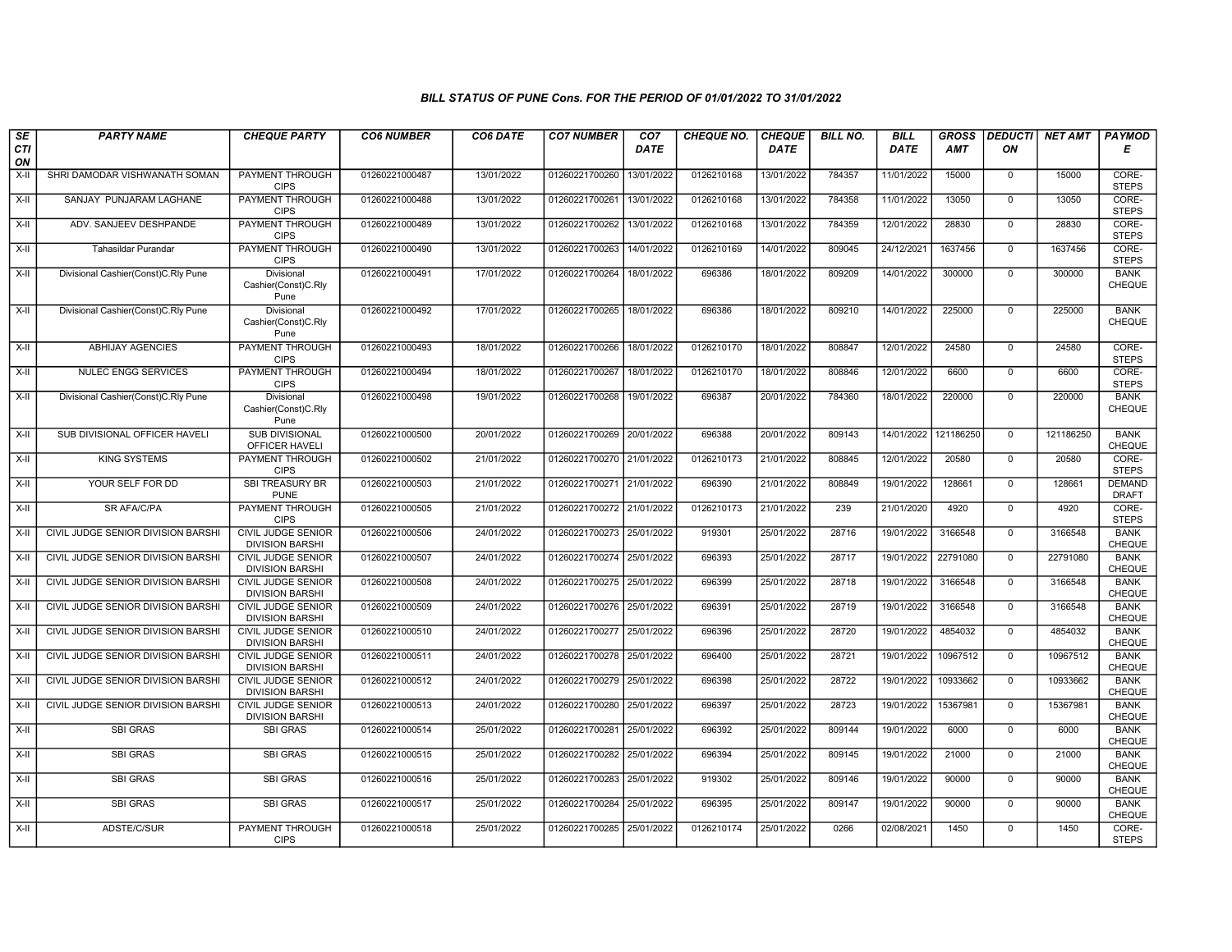| SE        | <b>PARTY NAME</b>                     | <b>CHEQUE PARTY</b>                                 | <b>CO6 NUMBER</b> | CO6 DATE   | <b>CO7 NUMBER</b>         | CO <sub>7</sub> | <b>CHEQUE NO.</b> | <b>CHEQUE</b> | <b>BILL NO.</b> | <b>BILL</b> | <b>GROSS</b> | <b>DEDUCTI</b> | <b>NET AMT</b> | <b>PAYMOD</b>                 |
|-----------|---------------------------------------|-----------------------------------------------------|-------------------|------------|---------------------------|-----------------|-------------------|---------------|-----------------|-------------|--------------|----------------|----------------|-------------------------------|
| CTI<br>ON |                                       |                                                     |                   |            |                           | <b>DATE</b>     |                   | <b>DATE</b>   |                 | DATE        | AMT          | ΟN             |                | Е                             |
| $X-H$     | SHRI DAMODAR VISHWANATH SOMAN         | <b>PAYMENT THROUGH</b><br><b>CIPS</b>               | 01260221000487    | 13/01/2022 | 01260221700260            | 13/01/2022      | 0126210168        | 13/01/2022    | 784357          | 11/01/2022  | 15000        | $\mathbf 0$    | 15000          | CORE-<br><b>STEPS</b>         |
| $X-H$     | SANJAY PUNJARAM LAGHANE               | <b>PAYMENT THROUGH</b><br><b>CIPS</b>               | 01260221000488    | 13/01/2022 | 01260221700261            | 13/01/2022      | 0126210168        | 13/01/2022    | 784358          | 11/01/2022  | 13050        | $\mathbf 0$    | 13050          | CORE-<br><b>STEPS</b>         |
| X-II      | ADV. SANJEEV DESHPANDE                | PAYMENT THROUGH<br><b>CIPS</b>                      | 01260221000489    | 13/01/2022 | 01260221700262            | 13/01/2022      | 0126210168        | 13/01/2022    | 784359          | 12/01/2022  | 28830        | $\mathbf 0$    | 28830          | CORE-<br><b>STEPS</b>         |
| X-II      | Tahasildar Purandar                   | <b>PAYMENT THROUGH</b><br><b>CIPS</b>               | 01260221000490    | 13/01/2022 | 01260221700263            | 14/01/2022      | 0126210169        | 14/01/2022    | 809045          | 24/12/2021  | 1637456      | $\mathbf{0}$   | 1637456        | CORE-<br><b>STEPS</b>         |
| X-II      | Divisional Cashier (Const) C.Rly Pune | Divisional<br>Cashier(Const)C.Rly<br>Pune           | 01260221000491    | 17/01/2022 | 01260221700264            | 18/01/2022      | 696386            | 18/01/2022    | 809209          | 14/01/2022  | 300000       | $\mathbf 0$    | 300000         | <b>BANK</b><br><b>CHEQUE</b>  |
| X-II      | Divisional Cashier(Const)C.Rly Pune   | Divisional<br>Cashier(Const)C.Rly<br>Pune           | 01260221000492    | 17/01/2022 | 01260221700265            | 18/01/2022      | 696386            | 18/01/2022    | 809210          | 14/01/2022  | 225000       | $\mathbf{0}$   | 225000         | <b>BANK</b><br><b>CHEQUE</b>  |
| $X-II$    | <b>ABHIJAY AGENCIES</b>               | <b>PAYMENT THROUGH</b><br><b>CIPS</b>               | 01260221000493    | 18/01/2022 | 01260221700266            | 18/01/2022      | 0126210170        | 18/01/2022    | 808847          | 12/01/2022  | 24580        | $\mathbf 0$    | 24580          | CORE-<br><b>STEPS</b>         |
| $X-II$    | <b>NULEC ENGG SERVICES</b>            | PAYMENT THROUGH<br><b>CIPS</b>                      | 01260221000494    | 18/01/2022 | 01260221700267            | 18/01/2022      | 0126210170        | 18/01/2022    | 808846          | 12/01/2022  | 6600         | $\mathbf{0}$   | 6600           | CORE-<br><b>STEPS</b>         |
| X-II      | Divisional Cashier(Const)C.Rly Pune   | Divisional<br>Cashier(Const)C.Rly<br>Pune           | 01260221000498    | 19/01/2022 | 01260221700268            | 19/01/2022      | 696387            | 20/01/2022    | 784360          | 18/01/2022  | 220000       | $\mathsf{O}$   | 220000         | <b>BANK</b><br><b>CHEQUE</b>  |
| $X-II$    | SUB DIVISIONAL OFFICER HAVELI         | <b>SUB DIVISIONAL</b><br>OFFICER HAVELI             | 01260221000500    | 20/01/2022 | 01260221700269            | 20/01/2022      | 696388            | 20/01/2022    | 809143          | 14/01/2022  | 121186250    | $\mathbf{0}$   | 121186250      | <b>BANK</b><br><b>CHEQUE</b>  |
| $X-II$    | <b>KING SYSTEMS</b>                   | <b>PAYMENT THROUGH</b><br><b>CIPS</b>               | 01260221000502    | 21/01/2022 | 01260221700270 21/01/2022 |                 | 0126210173        | 21/01/2022    | 808845          | 12/01/2022  | 20580        | $\overline{0}$ | 20580          | CORE-<br><b>STEPS</b>         |
| X-II      | YOUR SELF FOR DD                      | <b>SBI TREASURY BR</b><br><b>PUNE</b>               | 01260221000503    | 21/01/2022 | 01260221700271 21/01/2022 |                 | 696390            | 21/01/2022    | 808849          | 19/01/2022  | 128661       | $\mathbf{0}$   | 128661         | <b>DEMAND</b><br><b>DRAFT</b> |
| $X-H$     | <b>SR AFA/C/PA</b>                    | <b>PAYMENT THROUGH</b><br><b>CIPS</b>               | 01260221000505    | 21/01/2022 | 01260221700272 21/01/2022 |                 | 0126210173        | 21/01/2022    | 239             | 21/01/2020  | 4920         | $\Omega$       | 4920           | CORE-<br><b>STEPS</b>         |
| $X-II$    | CIVIL JUDGE SENIOR DIVISION BARSHI    | <b>CIVIL JUDGE SENIOR</b><br><b>DIVISION BARSHI</b> | 01260221000506    | 24/01/2022 | 01260221700273 25/01/2022 |                 | 919301            | 25/01/2022    | 28716           | 19/01/2022  | 3166548      | $\mathbf{0}$   | 3166548        | <b>BANK</b><br><b>CHEQUE</b>  |
| $X-II$    | CIVIL JUDGE SENIOR DIVISION BARSHI    | <b>CIVIL JUDGE SENIOR</b><br><b>DIVISION BARSHI</b> | 01260221000507    | 24/01/2022 | 01260221700274 25/01/2022 |                 | 696393            | 25/01/2022    | 28717           | 19/01/2022  | 22791080     | $\overline{0}$ | 22791080       | <b>BANK</b><br><b>CHEQUE</b>  |
| X-II      | CIVIL JUDGE SENIOR DIVISION BARSHI    | <b>CIVIL JUDGE SENIOR</b><br><b>DIVISION BARSHI</b> | 01260221000508    | 24/01/2022 | 01260221700275 25/01/2022 |                 | 696399            | 25/01/2022    | 28718           | 19/01/2022  | 3166548      | 0              | 3166548        | <b>BANK</b><br>CHEQUE         |
| $X-II$    | CIVIL JUDGE SENIOR DIVISION BARSHI    | <b>CIVIL JUDGE SENIOR</b><br><b>DIVISION BARSHI</b> | 01260221000509    | 24/01/2022 | 01260221700276 25/01/2022 |                 | 696391            | 25/01/2022    | 28719           | 19/01/2022  | 3166548      | $\Omega$       | 3166548        | <b>BANK</b><br><b>CHEQUE</b>  |
| X-II      | CIVIL JUDGE SENIOR DIVISION BARSHI    | <b>CIVIL JUDGE SENIOR</b><br><b>DIVISION BARSHI</b> | 01260221000510    | 24/01/2022 | 01260221700277            | 25/01/2022      | 696396            | 25/01/2022    | 28720           | 19/01/2022  | 4854032      | $\mathbf 0$    | 4854032        | <b>BANK</b><br><b>CHEQUE</b>  |
| $X-II$    | CIVIL JUDGE SENIOR DIVISION BARSHI    | <b>CIVIL JUDGE SENIOR</b><br><b>DIVISION BARSHI</b> | 01260221000511    | 24/01/2022 | 01260221700278 25/01/2022 |                 | 696400            | 25/01/2022    | 28721           | 19/01/2022  | 10967512     | $\overline{0}$ | 10967512       | <b>BANK</b><br><b>CHEQUE</b>  |
| $X-H$     | CIVIL JUDGE SENIOR DIVISION BARSHI    | <b>CIVIL JUDGE SENIOR</b><br><b>DIVISION BARSHI</b> | 01260221000512    | 24/01/2022 | 01260221700279 25/01/2022 |                 | 696398            | 25/01/2022    | 28722           | 19/01/2022  | 10933662     | $\mathbf 0$    | 10933662       | <b>BANK</b><br><b>CHEQUE</b>  |
| X-II      | CIVIL JUDGE SENIOR DIVISION BARSHI    | <b>CIVIL JUDGE SENIOR</b><br><b>DIVISION BARSHI</b> | 01260221000513    | 24/01/2022 | 01260221700280 25/01/2022 |                 | 696397            | 25/01/2022    | 28723           | 19/01/2022  | 15367981     | $\mathbf{0}$   | 15367981       | <b>BANK</b><br><b>CHEQUE</b>  |
| $X-II$    | <b>SBI GRAS</b>                       | <b>SBI GRAS</b>                                     | 01260221000514    | 25/01/2022 | 01260221700281            | 25/01/2022      | 696392            | 25/01/2022    | 809144          | 19/01/2022  | 6000         | 0              | 6000           | <b>BANK</b><br><b>CHEQUE</b>  |
| $X-II$    | <b>SBI GRAS</b>                       | <b>SBI GRAS</b>                                     | 01260221000515    | 25/01/2022 | 01260221700282            | 25/01/2022      | 696394            | 25/01/2022    | 809145          | 19/01/2022  | 21000        | $\overline{0}$ | 21000          | <b>BANK</b><br><b>CHEQUE</b>  |
| X-II      | <b>SBI GRAS</b>                       | <b>SBI GRAS</b>                                     | 01260221000516    | 25/01/2022 | 01260221700283            | 25/01/2022      | 919302            | 25/01/2022    | 809146          | 19/01/2022  | 90000        | $\mathbf{0}$   | 90000          | <b>BANK</b><br>CHEQUE         |
| X-II      | <b>SBI GRAS</b>                       | <b>SBI GRAS</b>                                     | 01260221000517    | 25/01/2022 | 01260221700284            | 25/01/2022      | 696395            | 25/01/2022    | 809147          | 19/01/2022  | 90000        | $\Omega$       | 90000          | <b>BANK</b><br><b>CHEQUE</b>  |
| X-II      | ADSTE/C/SUR                           | PAYMENT THROUGH<br><b>CIPS</b>                      | 01260221000518    | 25/01/2022 | 01260221700285            | 25/01/2022      | 0126210174        | 25/01/2022    | 0266            | 02/08/2021  | 1450         | $\mathbf 0$    | 1450           | CORE-<br><b>STEPS</b>         |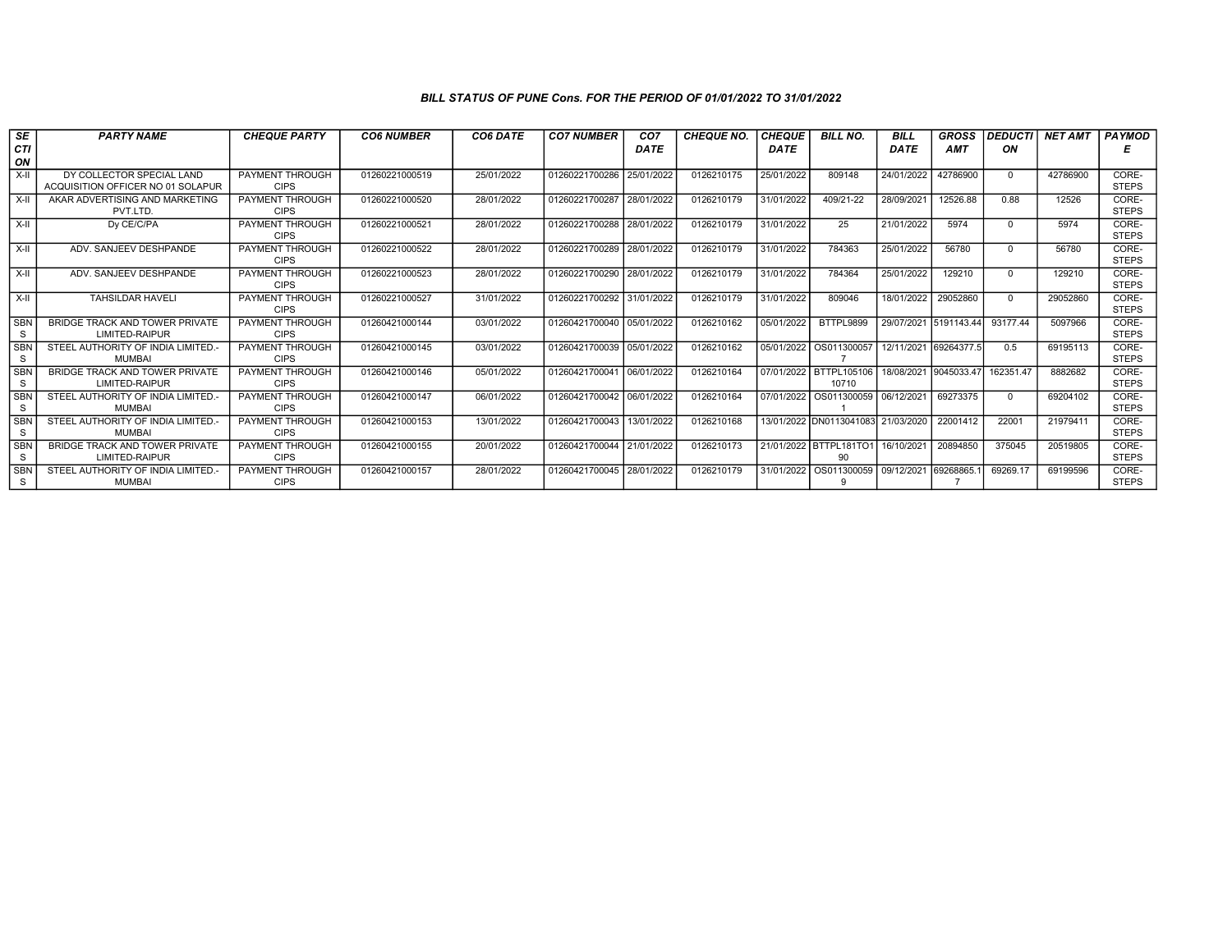| SE                         | <b>PARTY NAME</b>                                              | <b>CHEQUE PARTY</b>            | <b>CO6 NUMBER</b> | CO6 DATE   | <b>CO7 NUMBER</b>         | CO <sub>7</sub> | <b>CHEQUE NO.</b> | <b>CHEQUE</b> | <b>BILL NO.</b>                    | <b>BILL</b>           | <b>GROSS</b> | <b>DEDUCTI</b> | <b>NET AMT</b> | <b>PAYMOD</b>         |
|----------------------------|----------------------------------------------------------------|--------------------------------|-------------------|------------|---------------------------|-----------------|-------------------|---------------|------------------------------------|-----------------------|--------------|----------------|----------------|-----------------------|
| CTI                        |                                                                |                                |                   |            |                           | <b>DATE</b>     |                   | <b>DATE</b>   |                                    | <b>DATE</b>           | <b>AMT</b>   | ON             |                | Е                     |
| ON                         |                                                                |                                |                   |            |                           |                 |                   |               |                                    |                       |              |                |                |                       |
| $X-H$                      | DY COLLECTOR SPECIAL LAND<br>ACQUISITION OFFICER NO 01 SOLAPUR | PAYMENT THROUGH<br><b>CIPS</b> | 01260221000519    | 25/01/2022 | 01260221700286            | 25/01/2022      | 0126210175        | 25/01/2022    | 809148                             | 24/01/2022            | 42786900     | $\Omega$       | 42786900       | CORE-<br><b>STEPS</b> |
| $X-I$                      | AKAR ADVERTISING AND MARKETING<br>PVT.LTD.                     | PAYMENT THROUGH<br><b>CIPS</b> | 01260221000520    | 28/01/2022 | 01260221700287            | 28/01/2022      | 0126210179        | 31/01/2022    | $409/21 - 22$                      | 28/09/2021            | 12526.88     | 0.88           | 12526          | CORE-<br><b>STEPS</b> |
| $X-II$                     | Dv CE/C/PA                                                     | PAYMENT THROUGH<br><b>CIPS</b> | 01260221000521    | 28/01/2022 | 01260221700288            | 28/01/2022      | 0126210179        | 31/01/2022    | 25                                 | 21/01/2022            | 5974         | $\Omega$       | 5974           | CORE-<br><b>STEPS</b> |
| $X-H$                      | ADV. SANJEEV DESHPANDE                                         | PAYMENT THROUGH<br><b>CIPS</b> | 01260221000522    | 28/01/2022 | 01260221700289            | 28/01/2022      | 0126210179        | 31/01/2022    | 784363                             | 25/01/2022            | 56780        | $\Omega$       | 56780          | CORE-<br><b>STEPS</b> |
| $X-II$                     | ADV. SANJEEV DESHPANDE                                         | PAYMENT THROUGH<br><b>CIPS</b> | 01260221000523    | 28/01/2022 | 01260221700290            | 28/01/2022      | 0126210179        | 31/01/2022    | 784364                             | 25/01/2022            | 129210       | $\Omega$       | 129210         | CORE-<br><b>STEPS</b> |
| $X-II$                     | <b>TAHSILDAR HAVELI</b>                                        | PAYMENT THROUGH<br><b>CIPS</b> | 01260221000527    | 31/01/2022 | 01260221700292 31/01/2022 |                 | 0126210179        | 31/01/2022    | 809046                             | 18/01/2022            | 29052860     | $\Omega$       | 29052860       | CORE-<br><b>STEPS</b> |
| <b>SBN</b><br><sub>S</sub> | BRIDGE TRACK AND TOWER PRIVATE<br><b>LIMITED-RAIPUR</b>        | PAYMENT THROUGH<br><b>CIPS</b> | 01260421000144    | 03/01/2022 | 01260421700040 05/01/2022 |                 | 0126210162        | 05/01/2022    | BTTPL9899                          | 29/07/2021 5191143.44 |              | 93177.44       | 5097966        | CORE-<br><b>STEPS</b> |
| <b>SBN</b><br>-S           | STEEL AUTHORITY OF INDIA LIMITED.-<br><b>MUMBAI</b>            | PAYMENT THROUGH<br><b>CIPS</b> | 01260421000145    | 03/01/2022 | 01260421700039 05/01/2022 |                 | 0126210162        |               | 05/01/2022 OS011300057             | 12/11/2021 69264377.  |              | 0.5            | 69195113       | CORE-<br><b>STEPS</b> |
| <b>SBN</b><br>-S           | BRIDGE TRACK AND TOWER PRIVATE<br><b>LIMITED-RAIPUR</b>        | PAYMENT THROUGH<br><b>CIPS</b> | 01260421000146    | 05/01/2022 | 01260421700041            | 06/01/2022      | 0126210164        |               | 07/01/2022 BTTPL105106<br>10710    | 18/08/2021 9045033.47 |              | 162351.47      | 8882682        | CORE-<br><b>STEPS</b> |
| <b>SBN</b><br>-S           | STEEL AUTHORITY OF INDIA LIMITED.-<br><b>MUMBAI</b>            | PAYMENT THROUGH<br><b>CIPS</b> | 01260421000147    | 06/01/2022 | 01260421700042 06/01/2022 |                 | 0126210164        |               | 07/01/2022 OS011300059             | 06/12/2021            | 69273375     | $\Omega$       | 69204102       | CORE-<br><b>STEPS</b> |
| SBN<br>S.                  | STEEL AUTHORITY OF INDIA LIMITED.<br>MUMBAI                    | PAYMENT THROUGH<br><b>CIPS</b> | 01260421000153    | 13/01/2022 | 01260421700043 13/01/2022 |                 | 0126210168        |               | 13/01/2022 DN0113041083 21/03/2020 |                       | 22001412     | 22001          | 21979411       | CORE-<br><b>STEPS</b> |
| <b>SBN</b><br>S.           | BRIDGE TRACK AND TOWER PRIVATE<br><b>LIMITED-RAIPUR</b>        | PAYMENT THROUGH<br><b>CIPS</b> | 01260421000155    | 20/01/2022 | 01260421700044 21/01/2022 |                 | 0126210173        |               | 21/01/2022 BTTPL181TO1<br>90       | 16/10/2021            | 20894850     | 375045         | 20519805       | CORE-<br><b>STEPS</b> |
| <b>SBN</b><br>-S           | STEEL AUTHORITY OF INDIA LIMITED.-<br><b>MUMBAI</b>            | PAYMENT THROUGH<br><b>CIPS</b> | 01260421000157    | 28/01/2022 | 01260421700045 28/01/2022 |                 | 0126210179        |               | 31/01/2022   OS011300059  <br>- q  | 09/12/2021 69268865.  |              | 69269.17       | 69199596       | CORE-<br><b>STEPS</b> |